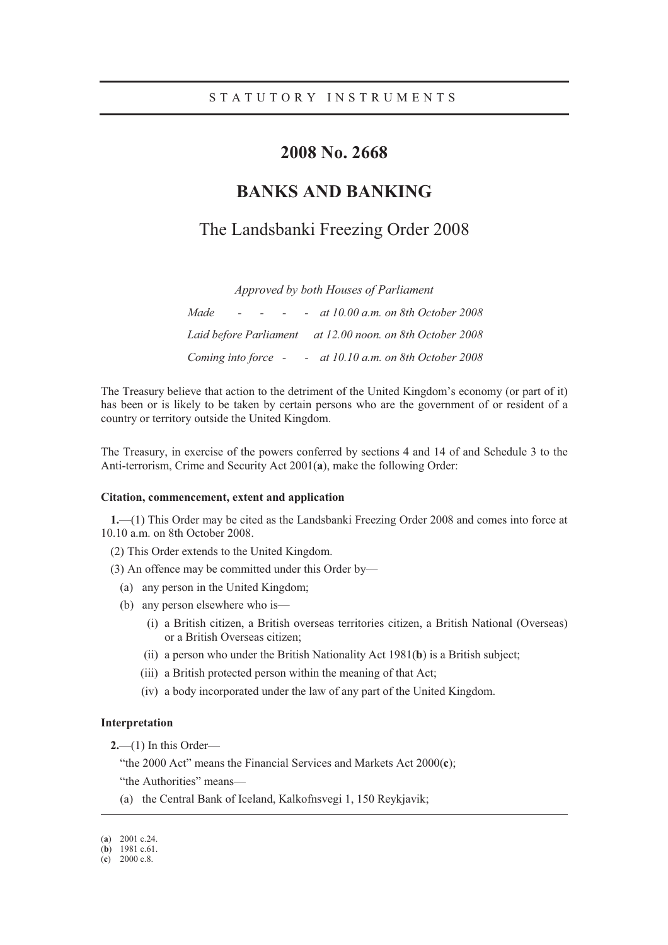# **2008 No. 2668**

# **BANKS AND BANKING**

# The Landsbanki Freezing Order 2008

*Approved by both Houses of Parliament* 

| Made<br>and the state of the state of the                    | - at $10.00$ a.m. on 8th October 2008 |
|--------------------------------------------------------------|---------------------------------------|
|                                                              |                                       |
| Coming into force $\sim$ - at 10.10 a.m. on 8th October 2008 |                                       |

The Treasury believe that action to the detriment of the United Kingdom's economy (or part of it) has been or is likely to be taken by certain persons who are the government of or resident of a country or territory outside the United Kingdom.

The Treasury, in exercise of the powers conferred by sections 4 and 14 of and Schedule 3 to the Anti-terrorism, Crime and Security Act 2001(**a**), make the following Order:

## **Citation, commencement, extent and application**

**1.**—(1) This Order may be cited as the Landsbanki Freezing Order 2008 and comes into force at 10.10 a.m. on 8th October 2008.

(2) This Order extends to the United Kingdom.

(3) An offence may be committed under this Order by—

- (a) any person in the United Kingdom;
- (b) any person elsewhere who is—
	- (i) a British citizen, a British overseas territories citizen, a British National (Overseas) or a British Overseas citizen;
	- (ii) a person who under the British Nationality Act 1981(**b**) is a British subject;
	- (iii) a British protected person within the meaning of that Act;
	- (iv) a body incorporated under the law of any part of the United Kingdom.

#### **Interpretation**

**2.**—(1) In this Order—

"the 2000 Act" means the Financial Services and Markets Act 2000(**c**);

"the Authorities" means—

(a) the Central Bank of Iceland, Kalkofnsvegi 1, 150 Reykjavik;

-

<sup>(</sup>**a**) 2001 c.24.

<sup>(</sup>**b**) 1981 c.61.

<sup>(</sup>**c**) 2000 c.8.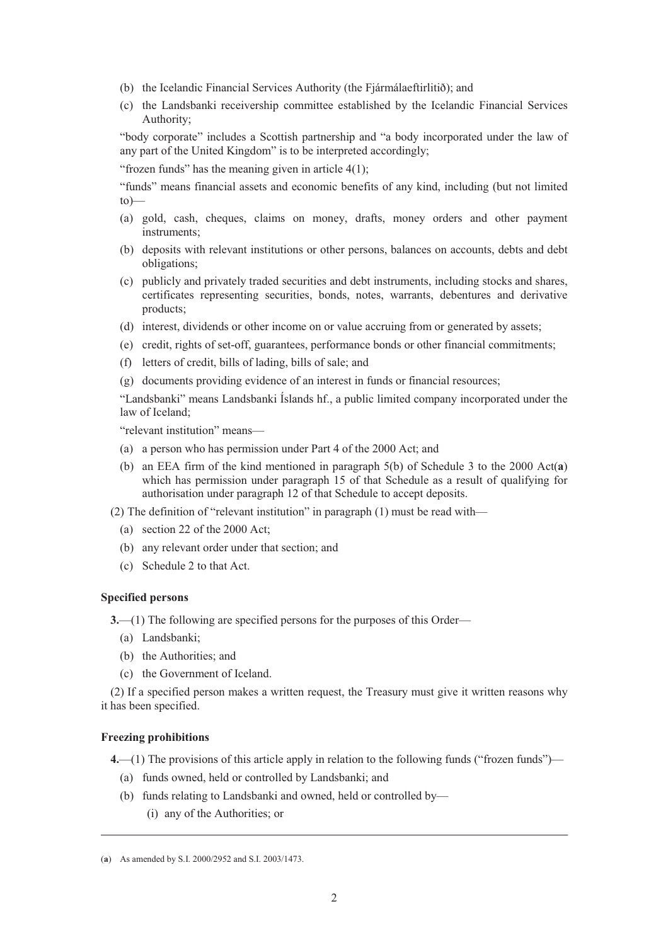- (b) the Icelandic Financial Services Authority (the Fjármálaeftirlitið); and
- (c) the Landsbanki receivership committee established by the Icelandic Financial Services Authority;

"body corporate" includes a Scottish partnership and "a body incorporated under the law of any part of the United Kingdom" is to be interpreted accordingly;

"frozen funds" has the meaning given in article  $4(1)$ ;

"funds" means financial assets and economic benefits of any kind, including (but not limited to)—

- (a) gold, cash, cheques, claims on money, drafts, money orders and other payment instruments;
- (b) deposits with relevant institutions or other persons, balances on accounts, debts and debt obligations;
- (c) publicly and privately traded securities and debt instruments, including stocks and shares, certificates representing securities, bonds, notes, warrants, debentures and derivative products;
- (d) interest, dividends or other income on or value accruing from or generated by assets;
- (e) credit, rights of set-off, guarantees, performance bonds or other financial commitments;
- (f) letters of credit, bills of lading, bills of sale; and
- (g) documents providing evidence of an interest in funds or financial resources;

"Landsbanki" means Landsbanki Íslands hf., a public limited company incorporated under the law of Iceland;

"relevant institution" means—

- (a) a person who has permission under Part 4 of the 2000 Act; and
- (b) an EEA firm of the kind mentioned in paragraph 5(b) of Schedule 3 to the 2000 Act(**a**) which has permission under paragraph 15 of that Schedule as a result of qualifying for authorisation under paragraph 12 of that Schedule to accept deposits.

(2) The definition of "relevant institution" in paragraph (1) must be read with—

- (a) section 22 of the 2000 Act;
- (b) any relevant order under that section; and
- (c) Schedule 2 to that Act.

#### **Specified persons**

**3.**—(1) The following are specified persons for the purposes of this Order—

- (a) Landsbanki;
- (b) the Authorities; and
- (c) the Government of Iceland.

(2) If a specified person makes a written request, the Treasury must give it written reasons why it has been specified.

### **Freezing prohibitions**

-

**4.**—(1) The provisions of this article apply in relation to the following funds ("frozen funds")—

- (a) funds owned, held or controlled by Landsbanki; and
- (b) funds relating to Landsbanki and owned, held or controlled by—
	- (i) any of the Authorities; or

<sup>(</sup>**a**) As amended by S.I. 2000/2952 and S.I. 2003/1473.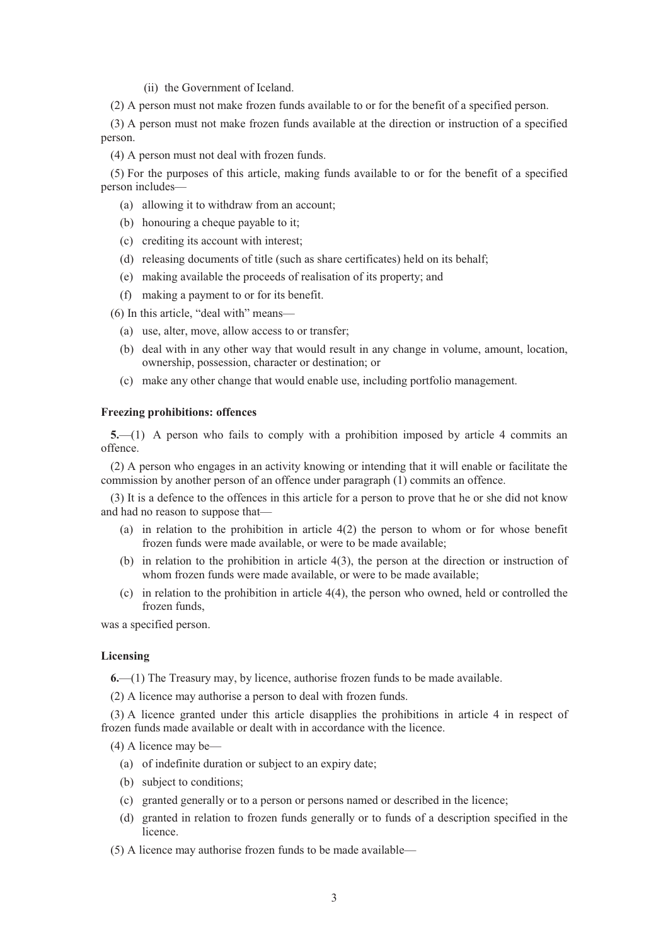#### (ii) the Government of Iceland.

(2) A person must not make frozen funds available to or for the benefit of a specified person.

(3) A person must not make frozen funds available at the direction or instruction of a specified person.

(4) A person must not deal with frozen funds.

(5) For the purposes of this article, making funds available to or for the benefit of a specified person includes—

- (a) allowing it to withdraw from an account;
- (b) honouring a cheque payable to it;
- (c) crediting its account with interest;
- (d) releasing documents of title (such as share certificates) held on its behalf;
- (e) making available the proceeds of realisation of its property; and
- (f) making a payment to or for its benefit.

(6) In this article, "deal with" means—

- (a) use, alter, move, allow access to or transfer;
- (b) deal with in any other way that would result in any change in volume, amount, location, ownership, possession, character or destination; or
- (c) make any other change that would enable use, including portfolio management.

## **Freezing prohibitions: offences**

**5.**—(1) A person who fails to comply with a prohibition imposed by article 4 commits an offence.

(2) A person who engages in an activity knowing or intending that it will enable or facilitate the commission by another person of an offence under paragraph (1) commits an offence.

(3) It is a defence to the offences in this article for a person to prove that he or she did not know and had no reason to suppose that—

- (a) in relation to the prohibition in article 4(2) the person to whom or for whose benefit frozen funds were made available, or were to be made available;
- (b) in relation to the prohibition in article 4(3), the person at the direction or instruction of whom frozen funds were made available, or were to be made available;
- (c) in relation to the prohibition in article 4(4), the person who owned, held or controlled the frozen funds,

was a specified person.

## **Licensing**

**6.**—(1) The Treasury may, by licence, authorise frozen funds to be made available.

(2) A licence may authorise a person to deal with frozen funds.

(3) A licence granted under this article disapplies the prohibitions in article 4 in respect of frozen funds made available or dealt with in accordance with the licence.

(4) A licence may be—

- (a) of indefinite duration or subject to an expiry date;
- (b) subject to conditions;
- (c) granted generally or to a person or persons named or described in the licence;
- (d) granted in relation to frozen funds generally or to funds of a description specified in the licence.
- (5) A licence may authorise frozen funds to be made available—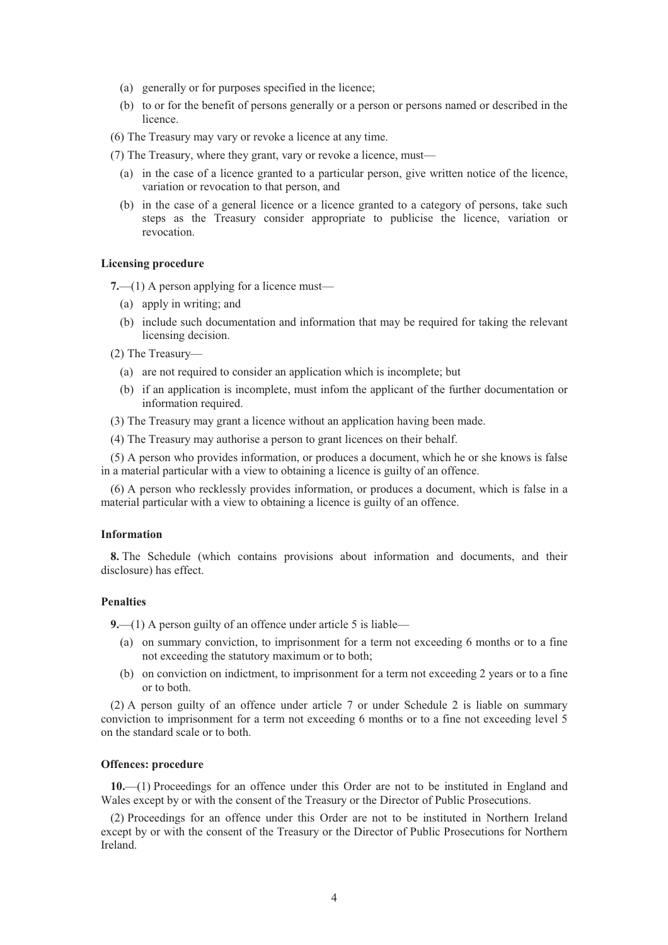- (a) generally or for purposes specified in the licence;
- (b) to or for the benefit of persons generally or a person or persons named or described in the **licence**

(6) The Treasury may vary or revoke a licence at any time.

- (7) The Treasury, where they grant, vary or revoke a licence, must—
	- (a) in the case of a licence granted to a particular person, give written notice of the licence, variation or revocation to that person, and
	- (b) in the case of a general licence or a licence granted to a category of persons, take such steps as the Treasury consider appropriate to publicise the licence, variation or revocation.

## **Licensing procedure**

**7.**—(1) A person applying for a licence must—

- (a) apply in writing; and
- (b) include such documentation and information that may be required for taking the relevant licensing decision.
- (2) The Treasury—
	- (a) are not required to consider an application which is incomplete; but
	- (b) if an application is incomplete, must infom the applicant of the further documentation or information required.
- (3) The Treasury may grant a licence without an application having been made.
- (4) The Treasury may authorise a person to grant licences on their behalf.

(5) A person who provides information, or produces a document, which he or she knows is false in a material particular with a view to obtaining a licence is guilty of an offence.

(6) A person who recklessly provides information, or produces a document, which is false in a material particular with a view to obtaining a licence is guilty of an offence.

# **Information**

**8.** The Schedule (which contains provisions about information and documents, and their disclosure) has effect.

### **Penalties**

**9.**—(1) A person guilty of an offence under article 5 is liable—

- (a) on summary conviction, to imprisonment for a term not exceeding 6 months or to a fine not exceeding the statutory maximum or to both;
- (b) on conviction on indictment, to imprisonment for a term not exceeding 2 years or to a fine or to both.

(2) A person guilty of an offence under article 7 or under Schedule 2 is liable on summary conviction to imprisonment for a term not exceeding 6 months or to a fine not exceeding level 5 on the standard scale or to both.

#### **Offences: procedure**

**10.**—(1) Proceedings for an offence under this Order are not to be instituted in England and Wales except by or with the consent of the Treasury or the Director of Public Prosecutions.

(2) Proceedings for an offence under this Order are not to be instituted in Northern Ireland except by or with the consent of the Treasury or the Director of Public Prosecutions for Northern Ireland.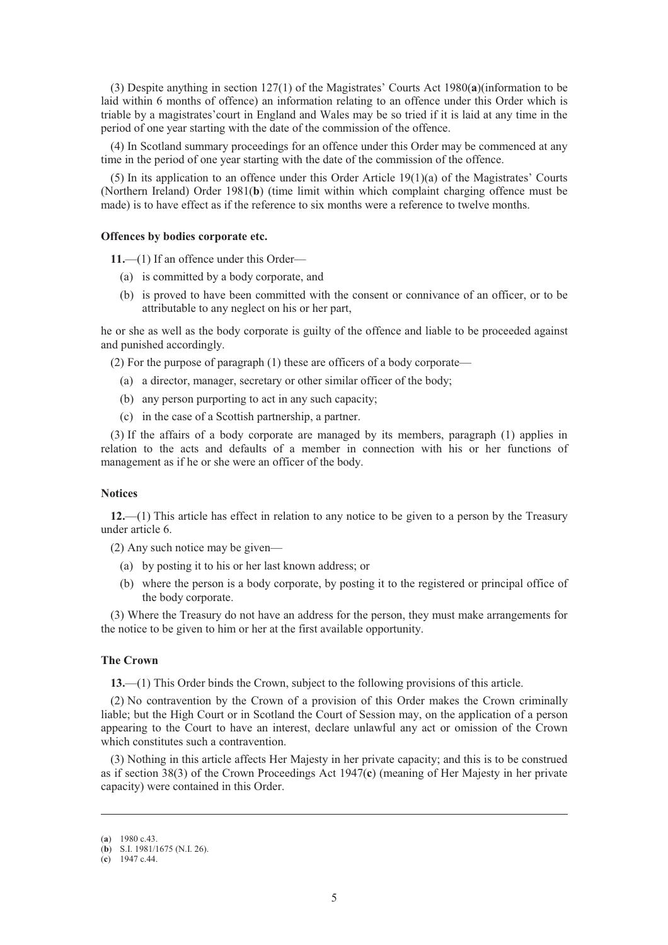(3) Despite anything in section 127(1) of the Magistrates' Courts Act 1980(**a**)(information to be laid within 6 months of offence) an information relating to an offence under this Order which is triable by a magistrates'court in England and Wales may be so tried if it is laid at any time in the period of one year starting with the date of the commission of the offence.

(4) In Scotland summary proceedings for an offence under this Order may be commenced at any time in the period of one year starting with the date of the commission of the offence.

(5) In its application to an offence under this Order Article 19(1)(a) of the Magistrates' Courts (Northern Ireland) Order 1981(**b**) (time limit within which complaint charging offence must be made) is to have effect as if the reference to six months were a reference to twelve months.

### **Offences by bodies corporate etc.**

**11.**—(1) If an offence under this Order—

- (a) is committed by a body corporate, and
- (b) is proved to have been committed with the consent or connivance of an officer, or to be attributable to any neglect on his or her part,

he or she as well as the body corporate is guilty of the offence and liable to be proceeded against and punished accordingly.

(2) For the purpose of paragraph (1) these are officers of a body corporate—

- (a) a director, manager, secretary or other similar officer of the body;
- (b) any person purporting to act in any such capacity;
- (c) in the case of a Scottish partnership, a partner.

(3) If the affairs of a body corporate are managed by its members, paragraph (1) applies in relation to the acts and defaults of a member in connection with his or her functions of management as if he or she were an officer of the body.

#### **Notices**

**12.**—(1) This article has effect in relation to any notice to be given to a person by the Treasury under article 6.

(2) Any such notice may be given—

- (a) by posting it to his or her last known address; or
- (b) where the person is a body corporate, by posting it to the registered or principal office of the body corporate.

(3) Where the Treasury do not have an address for the person, they must make arrangements for the notice to be given to him or her at the first available opportunity.

## **The Crown**

**13.**—(1) This Order binds the Crown, subject to the following provisions of this article.

(2) No contravention by the Crown of a provision of this Order makes the Crown criminally liable; but the High Court or in Scotland the Court of Session may, on the application of a person appearing to the Court to have an interest, declare unlawful any act or omission of the Crown which constitutes such a contravention.

(3) Nothing in this article affects Her Majesty in her private capacity; and this is to be construed as if section 38(3) of the Crown Proceedings Act 1947(**c**) (meaning of Her Majesty in her private capacity) were contained in this Order.

-

<sup>(</sup>**a**) 1980 c.43.

<sup>(</sup>**b**) S.I. 1981/1675 (N.I. 26).

<sup>(</sup>**c**) 1947 c.44.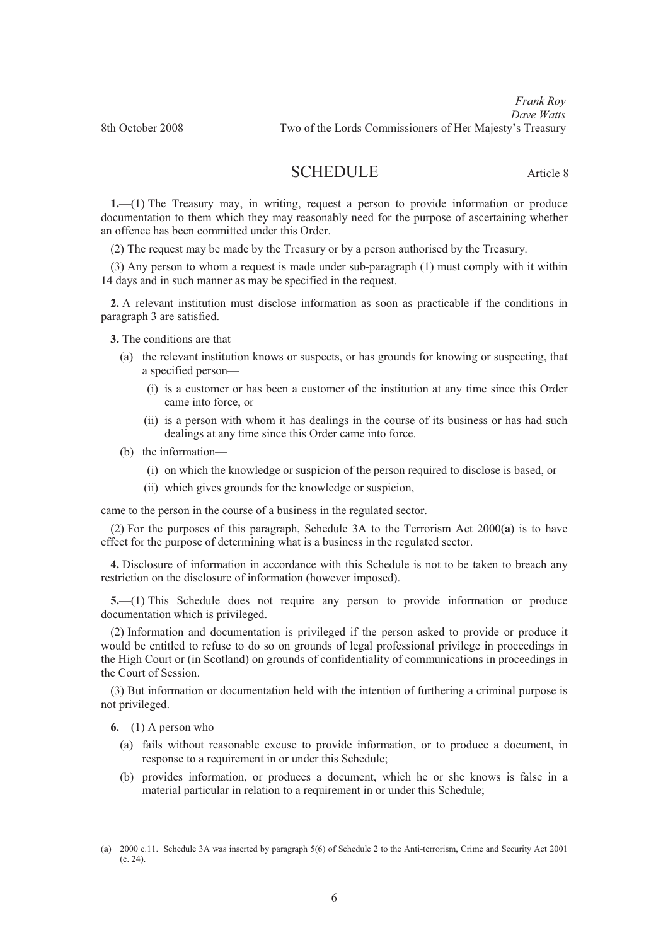# SCHEDULE Article 8

**1.**—(1) The Treasury may, in writing, request a person to provide information or produce documentation to them which they may reasonably need for the purpose of ascertaining whether an offence has been committed under this Order.

(2) The request may be made by the Treasury or by a person authorised by the Treasury.

(3) Any person to whom a request is made under sub-paragraph (1) must comply with it within 14 days and in such manner as may be specified in the request.

**2.** A relevant institution must disclose information as soon as practicable if the conditions in paragraph 3 are satisfied.

**3.** The conditions are that—

- (a) the relevant institution knows or suspects, or has grounds for knowing or suspecting, that a specified person—
	- (i) is a customer or has been a customer of the institution at any time since this Order came into force, or
	- (ii) is a person with whom it has dealings in the course of its business or has had such dealings at any time since this Order came into force.
- (b) the information—
	- (i) on which the knowledge or suspicion of the person required to disclose is based, or
	- (ii) which gives grounds for the knowledge or suspicion,

came to the person in the course of a business in the regulated sector.

(2) For the purposes of this paragraph, Schedule 3A to the Terrorism Act 2000(**a**) is to have effect for the purpose of determining what is a business in the regulated sector.

**4.** Disclosure of information in accordance with this Schedule is not to be taken to breach any restriction on the disclosure of information (however imposed).

**5.**—(1) This Schedule does not require any person to provide information or produce documentation which is privileged.

(2) Information and documentation is privileged if the person asked to provide or produce it would be entitled to refuse to do so on grounds of legal professional privilege in proceedings in the High Court or (in Scotland) on grounds of confidentiality of communications in proceedings in the Court of Session.

(3) But information or documentation held with the intention of furthering a criminal purpose is not privileged.

 $6$ —(1) A person who—

-

- (a) fails without reasonable excuse to provide information, or to produce a document, in response to a requirement in or under this Schedule;
- (b) provides information, or produces a document, which he or she knows is false in a material particular in relation to a requirement in or under this Schedule;

<sup>(</sup>**a**) 2000 c.11. Schedule 3A was inserted by paragraph 5(6) of Schedule 2 to the Anti-terrorism, Crime and Security Act 2001 (c. 24).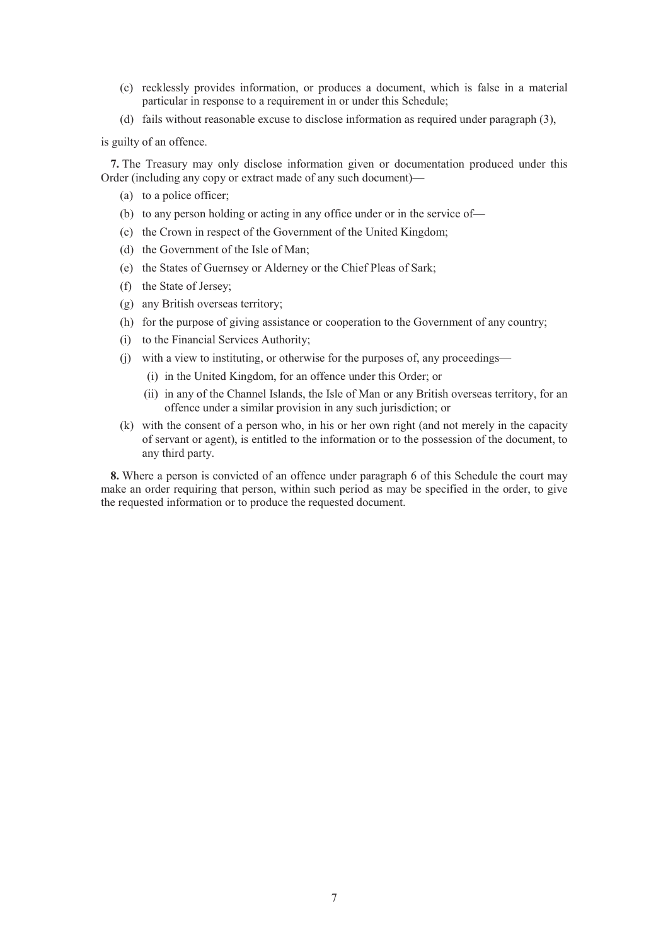- (c) recklessly provides information, or produces a document, which is false in a material particular in response to a requirement in or under this Schedule;
- (d) fails without reasonable excuse to disclose information as required under paragraph (3),

is guilty of an offence.

**7.** The Treasury may only disclose information given or documentation produced under this Order (including any copy or extract made of any such document)—

- (a) to a police officer;
- (b) to any person holding or acting in any office under or in the service of—
- (c) the Crown in respect of the Government of the United Kingdom;
- (d) the Government of the Isle of Man;
- (e) the States of Guernsey or Alderney or the Chief Pleas of Sark;
- (f) the State of Jersey;
- (g) any British overseas territory;
- (h) for the purpose of giving assistance or cooperation to the Government of any country;
- (i) to the Financial Services Authority;
- (j) with a view to instituting, or otherwise for the purposes of, any proceedings—
	- (i) in the United Kingdom, for an offence under this Order; or
	- (ii) in any of the Channel Islands, the Isle of Man or any British overseas territory, for an offence under a similar provision in any such jurisdiction; or
- (k) with the consent of a person who, in his or her own right (and not merely in the capacity of servant or agent), is entitled to the information or to the possession of the document, to any third party.

**8.** Where a person is convicted of an offence under paragraph 6 of this Schedule the court may make an order requiring that person, within such period as may be specified in the order, to give the requested information or to produce the requested document.